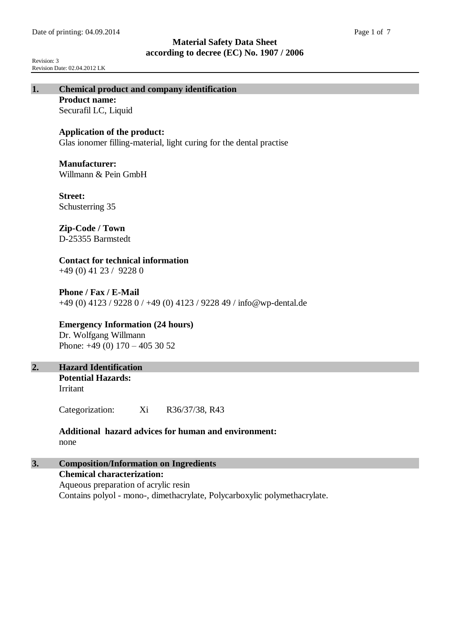Revision: 3 Revision Date: 02.04.2012 LK

# **1. Chemical product and company identification**

**Product name:** Securafil LC, Liquid

## **Application of the product:**

Glas ionomer filling-material, light curing for the dental practise

#### **Manufacturer:**

Willmann & Pein GmbH

**Street:** Schusterring 35

# **Zip-Code / Town**

D-25355 Barmstedt

# **Contact for technical information**

+49 (0) 41 23 / 9228 0

## **Phone / Fax / E-Mail** +49 (0) 4123 / 9228 0 / +49 (0) 4123 / 9228 49 / info@wp-dental.de

## **Emergency Information (24 hours)**

Dr. Wolfgang Willmann Phone: +49 (0) 170 – 405 30 52

# **2. Hazard Identification**

**Potential Hazards:** Irritant

Categorization: Xi R36/37/38, R43

## **Additional hazard advices for human and environment:** none

# **3. Composition/Information on Ingredients**

**Chemical characterization:** Aqueous preparation of acrylic resin Contains polyol - mono-, dimethacrylate, Polycarboxylic polymethacrylate.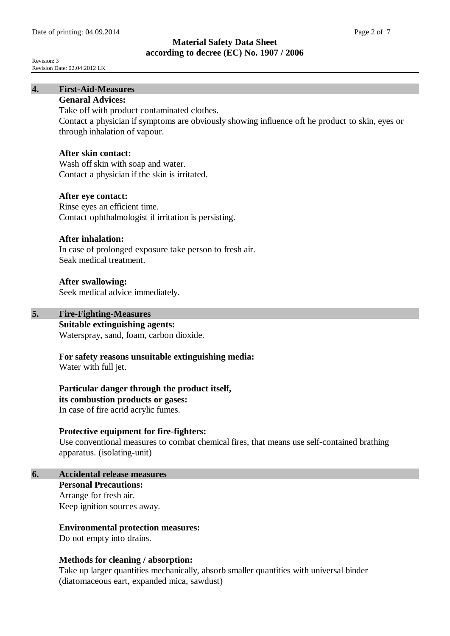Revision: 3 Revision Date: 02.04.2012 LK

# **4. First-Aid-Measures**

# **Genaral Advices:**

Take off with product contaminated clothes.

Contact a physician if symptoms are obviously showing influence oft he product to skin, eyes or through inhalation of vapour.

#### **After skin contact:**

Wash off skin with soap and water. Contact a physician if the skin is irritated.

#### **After eye contact:**

Rinse eyes an efficient time. Contact ophthalmologist if irritation is persisting.

#### **After inhalation:**

In case of prolonged exposure take person to fresh air. Seak medical treatment.

#### **After swallowing:**

Seek medical advice immediately.

# **5. Fire-Fighting-Measures**

**Suitable extinguishing agents:**

Waterspray, sand, foam, carbon dioxide.

## **For safety reasons unsuitable extinguishing media:**

Water with full jet.

**Particular danger through the product itself,** 

#### **its combustion products or gases:**

In case of fire acrid acrylic fumes.

#### **Protective equipment for fire-fighters:**

Use conventional measures to combat chemical fires, that means use self-contained brathing apparatus. (isolating-unit)

# **6. Accidental release measures**

**Personal Precautions:** Arrange for fresh air. Keep ignition sources away.

## **Environmental protection measures:**

Do not empty into drains.

#### **Methods for cleaning / absorption:**

Take up larger quantities mechanically, absorb smaller quantities with universal binder (diatomaceous eart, expanded mica, sawdust)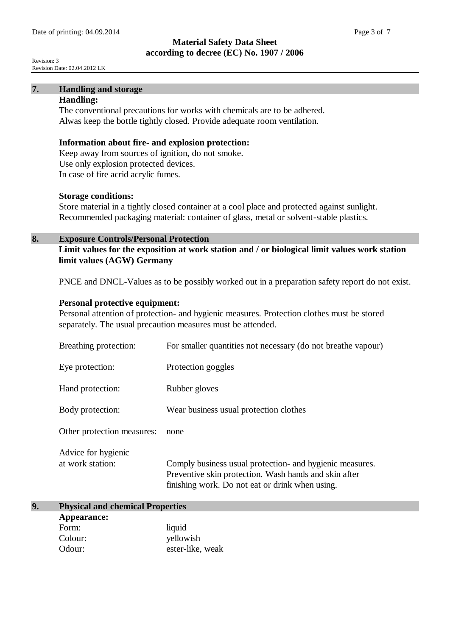Revision: 3 Revision Date: 02.04.2012 LK

# **7. Handling and storage**

# **Handling:**

The conventional precautions for works with chemicals are to be adhered. Alwas keep the bottle tightly closed. Provide adequate room ventilation.

#### **Information about fire- and explosion protection:**

Keep away from sources of ignition, do not smoke. Use only explosion protected devices. In case of fire acrid acrylic fumes.

#### **Storage conditions:**

Store material in a tightly closed container at a cool place and protected against sunlight. Recommended packaging material: container of glass, metal or solvent-stable plastics.

#### **8. Exposure Controls/Personal Protection**

**Limit values for the exposition at work station and / or biological limit values work station limit values (AGW) Germany**

PNCE and DNCL-Values as to be possibly worked out in a preparation safety report do not exist.

#### **Personal protective equipment:**

Personal attention of protection- and hygienic measures. Protection clothes must be stored separately. The usual precaution measures must be attended.

| Breathing protection:                   | For smaller quantities not necessary (do not breathe vapour)                                                                                                         |
|-----------------------------------------|----------------------------------------------------------------------------------------------------------------------------------------------------------------------|
| Eye protection:                         | Protection goggles                                                                                                                                                   |
| Hand protection:                        | Rubber gloves                                                                                                                                                        |
| Body protection:                        | Wear business usual protection clothes                                                                                                                               |
| Other protection measures:              | none                                                                                                                                                                 |
| Advice for hygienic<br>at work station: | Comply business usual protection- and hygienic measures.<br>Preventive skin protection. Wash hands and skin after<br>finishing work. Do not eat or drink when using. |

# **9. Physical and chemical Properties Appearance:** Form: liquid Colour: yellowish Odour: ester-like, weak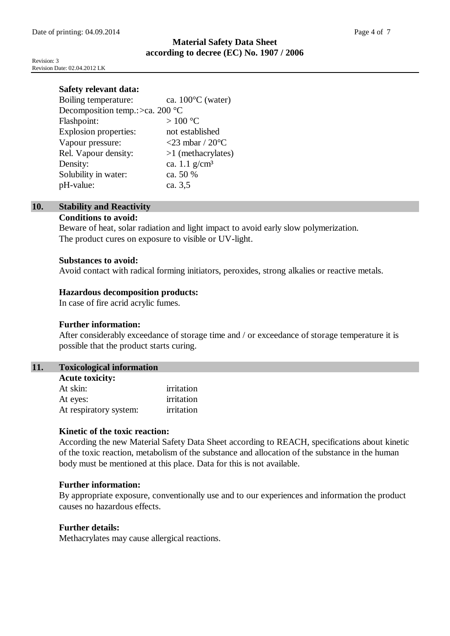Revision: 3 Revision Date: 02.04.2012 LK

| ca. $100^{\circ}$ C (water)        |
|------------------------------------|
| Decomposition temp.: $>ca. 200 °C$ |
| $>100\text{ °C}$                   |
| not established                    |
| <23 mbar / $20^{\circ}$ C          |
| $>1$ (methacrylates)               |
| ca. 1.1 $g/cm^3$                   |
| ca. 50 %                           |
| ca. 3,5                            |
|                                    |

#### **10. Stability and Reactivity Conditions to avoid:**

Beware of heat, solar radiation and light impact to avoid early slow polymerization. The product cures on exposure to visible or UV-light.

#### **Substances to avoid:**

Avoid contact with radical forming initiators, peroxides, strong alkalies or reactive metals.

## **Hazardous decomposition products:**

In case of fire acrid acrylic fumes.

## **Further information:**

After considerably exceedance of storage time and / or exceedance of storage temperature it is possible that the product starts curing.

## **11. Toxicological information**

| <b>Acute toxicity:</b> |            |  |
|------------------------|------------|--|
| At skin:               | irritation |  |
| At eyes:               | irritation |  |
| At respiratory system: | irritation |  |

## **Kinetic of the toxic reaction:**

According the new Material Safety Data Sheet according to REACH, specifications about kinetic of the toxic reaction, metabolism of the substance and allocation of the substance in the human body must be mentioned at this place. Data for this is not available.

## **Further information:**

By appropriate exposure, conventionally use and to our experiences and information the product causes no hazardous effects.

## **Further details:**

Methacrylates may cause allergical reactions.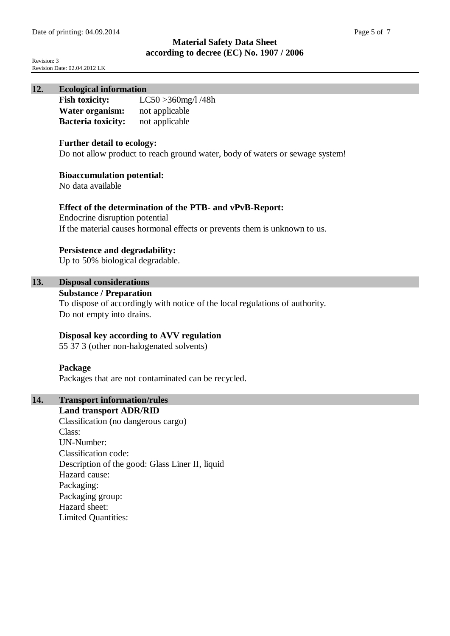Revision: 3 Revision Date: 02.04.2012 LK

## **12. Ecological information**

| <b>Fish toxicity:</b>     | $LC50 > 360$ mg/l/48h |
|---------------------------|-----------------------|
| Water organism:           | not applicable        |
| <b>Bacteria toxicity:</b> | not applicable        |

#### **Further detail to ecology:**

Do not allow product to reach ground water, body of waters or sewage system!

#### **Bioaccumulation potential:**

No data available

#### **Effect of the determination of the PTB- and vPvB-Report:**

Endocrine disruption potential If the material causes hormonal effects or prevents them is unknown to us.

#### **Persistence and degradability:**

Up to 50% biological degradable.

# **13. Disposal considerations**

#### **Substance / Preparation**

To dispose of accordingly with notice of the local regulations of authority. Do not empty into drains.

## **Disposal key according to AVV regulation**

55 37 3 (other non-halogenated solvents)

#### **Package**

Packages that are not contaminated can be recycled.

# **14. Transport information/rules**

**Land transport ADR/RID**  Classification (no dangerous cargo) Class: UN-Number: Classification code: Description of the good: Glass Liner II, liquid Hazard cause: Packaging: Packaging group: Hazard sheet: Limited Quantities: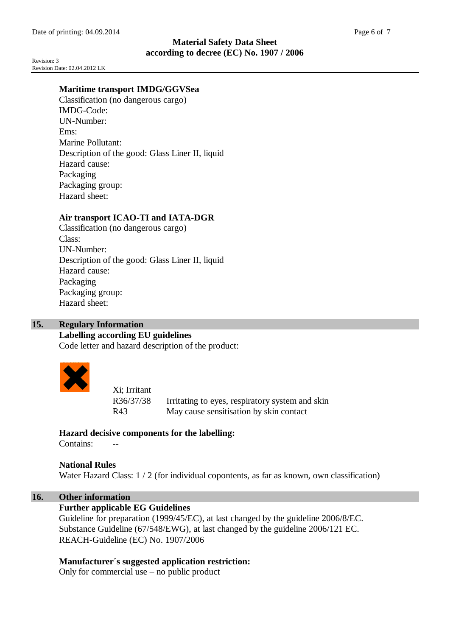Revision: 3 Revision Date: 02.04.2012 LK

# **Maritime transport IMDG/GGVSea**

Classification (no dangerous cargo) IMDG-Code: UN-Number: Ems: Marine Pollutant: Description of the good: Glass Liner II, liquid Hazard cause: Packaging Packaging group: Hazard sheet:

# **Air transport ICAO-TI and IATA-DGR**

Classification (no dangerous cargo) Class: UN-Number: Description of the good: Glass Liner II, liquid Hazard cause: Packaging Packaging group: Hazard sheet:

## **15. Regulary Information**

## **Labelling according EU guidelines**

Code letter and hazard description of the product:



Xi; Irritant R36/37/38 Irritating to eyes, respiratory system and skin R43 May cause sensitisation by skin contact

# **Hazard decisive components for the labelling:**

Contains:

**National Rules** Water Hazard Class:  $1/2$  (for individual copontents, as far as known, own classification)

## **16. Other information**

## **Further applicable EG Guidelines**

Guideline for preparation (1999/45/EC), at last changed by the guideline 2006/8/EC. Substance Guideline (67/548/EWG), at last changed by the guideline 2006/121 EC. REACH-Guideline (EC) No. 1907/2006

## **Manufacturer´s suggested application restriction:**

Only for commercial use – no public product